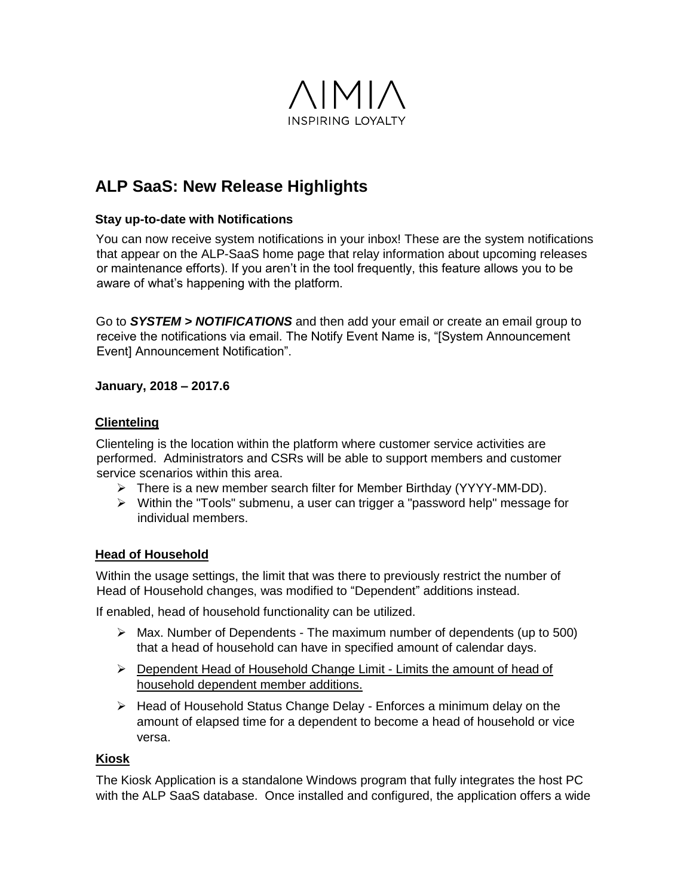

## **ALP SaaS: New Release Highlights**

#### **Stay up-to-date with Notifications**

You can now receive system notifications in your inbox! These are the system notifications that appear on the ALP-SaaS home page that relay information about upcoming releases or maintenance efforts). If you aren't in the tool frequently, this feature allows you to be aware of what's happening with the platform.

Go to *SYSTEM > NOTIFICATIONS* and then add your email or create an email group to receive the notifications via email. The Notify Event Name is, "[System Announcement Event] Announcement Notification".

#### **January, 2018 – 2017.6**

#### **Clienteling**

Clienteling is the location within the platform where customer service activities are performed. Administrators and CSRs will be able to support members and customer service scenarios within this area.

- $\triangleright$  There is a new member search filter for Member Birthday (YYYY-MM-DD).
- Within the "Tools" submenu, a user can trigger a "password help" message for individual members.

#### **Head of Household**

Within the usage settings, the limit that was there to previously restrict the number of Head of Household changes, was modified to "Dependent" additions instead.

If enabled, head of household functionality can be utilized.

- $\triangleright$  Max. Number of Dependents The maximum number of dependents (up to 500) that a head of household can have in specified amount of calendar days.
- $\triangleright$  Dependent Head of Household Change Limit Limits the amount of head of household dependent member additions.
- $\triangleright$  Head of Household Status Change Delay Enforces a minimum delay on the amount of elapsed time for a dependent to become a head of household or vice versa.

#### **Kiosk**

The Kiosk Application is a standalone Windows program that fully integrates the host PC with the ALP SaaS database. Once installed and configured, the application offers a wide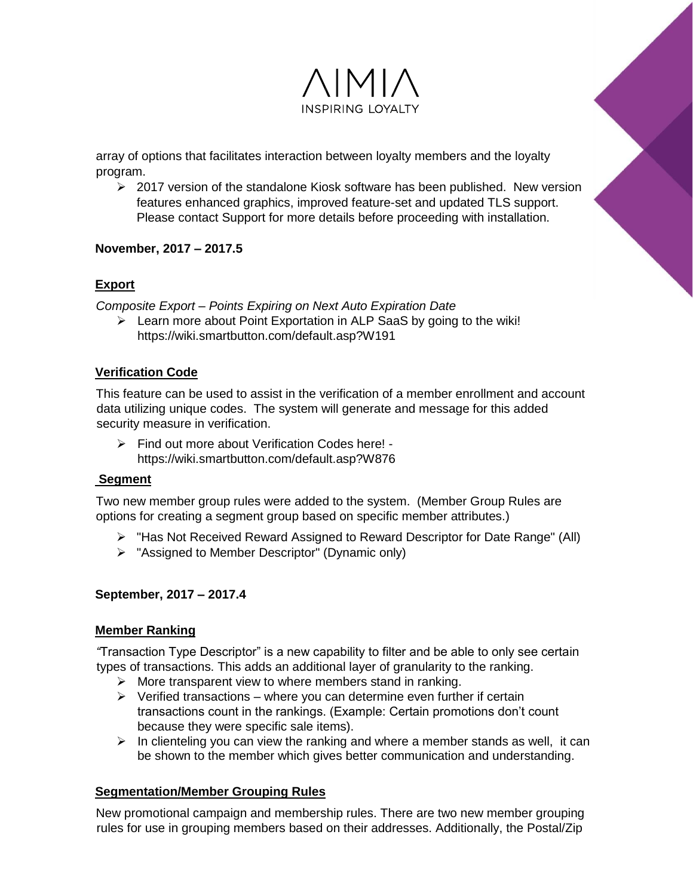

array of options that facilitates interaction between loyalty members and the loyalty program.

 $\geq$  2017 version of the standalone Kiosk software has been published. New version features enhanced graphics, improved feature-set and updated TLS support. Please contact Support for more details before proceeding with installation.

#### **November, 2017 – 2017.5**

#### **Export**

*Composite Export – Points Expiring on Next Auto Expiration Date*

 $\triangleright$  Learn more about Point Exportation in ALP SaaS by going to the wiki! https://wiki.smartbutton.com/default.asp?W191

#### **Verification Code**

This feature can be used to assist in the verification of a member enrollment and account data utilizing unique codes. The system will generate and message for this added security measure in verification.

 Find out more about Verification Codes here! https://wiki.smartbutton.com/default.asp?W876

#### **Segment**

Two new member group rules were added to the system. (Member Group Rules are options for creating a segment group based on specific member attributes.)

- "Has Not Received Reward Assigned to Reward Descriptor for Date Range" (All)
- $\triangleright$  "Assigned to Member Descriptor" (Dynamic only)

#### **September, 2017 – 2017.4**

#### **Member Ranking**

*"*Transaction Type Descriptor" is a new capability to filter and be able to only see certain types of transactions. This adds an additional layer of granularity to the ranking.

- $\triangleright$  More transparent view to where members stand in ranking.
- $\triangleright$  Verified transactions where you can determine even further if certain transactions count in the rankings. (Example: Certain promotions don't count because they were specific sale items).
- $\triangleright$  In clienteling you can view the ranking and where a member stands as well, it can be shown to the member which gives better communication and understanding.

#### **Segmentation/Member Grouping Rules**

New promotional campaign and membership rules. There are two new member grouping rules for use in grouping members based on their addresses. Additionally, the Postal/Zip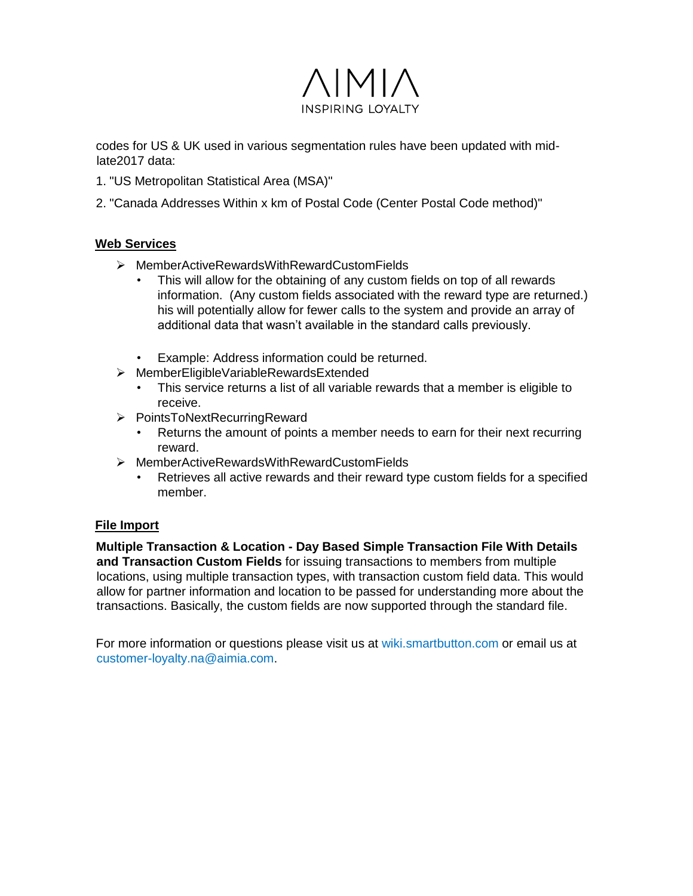

codes for US & UK used in various segmentation rules have been updated with midlate2017 data:

- 1. "US Metropolitan Statistical Area (MSA)"
- 2. "Canada Addresses Within x km of Postal Code (Center Postal Code method)"

#### **Web Services**

- [MemberActiveRewardsWithRewardCustomFields](https://wiki.smartbutton.com/default.asp?W872)
	- This will allow for the obtaining of any custom fields on top of all rewards information. (Any custom fields associated with the reward type are returned.) his will potentially allow for fewer calls to the system and provide an array of additional data that wasn't available in the standard calls previously.
	- Example: Address information could be returned.
- [MemberEligibleVariableRewardsExtended](https://wiki.smartbutton.com/default.asp?W871) 
	- This service returns a list of all variable rewards that a member is eligible to receive.
- > PointsToNextRecurringReward
	- Returns the amount of points a member needs to earn for their next recurring reward.
- [MemberActiveRewardsWithRewardCustomFields](https://wiki.smartbutton.com/default.asp?W872) 
	- Retrieves all active rewards and their reward type custom fields for a specified member.

#### **File Import**

**[Multiple Transaction & Location -](https://wiki.smartbutton.com/default.asp?W874) [Day Based Simple Transaction File With Details](https://wiki.smartbutton.com/default.asp?W874)  [and Transaction Custom Fields](https://wiki.smartbutton.com/default.asp?W874)** for issuing transactions to members from multiple locations, using multiple transaction types, with transaction custom field data. This would allow for partner information and location to be passed for understanding more about the transactions. Basically, the custom fields are now supported through the standard file.

For more information or questions please visit us [at wiki.smartbutton.com](https://wiki.smartbutton.com/default.asp) or email us at customer-loyalty.na@aimia.com.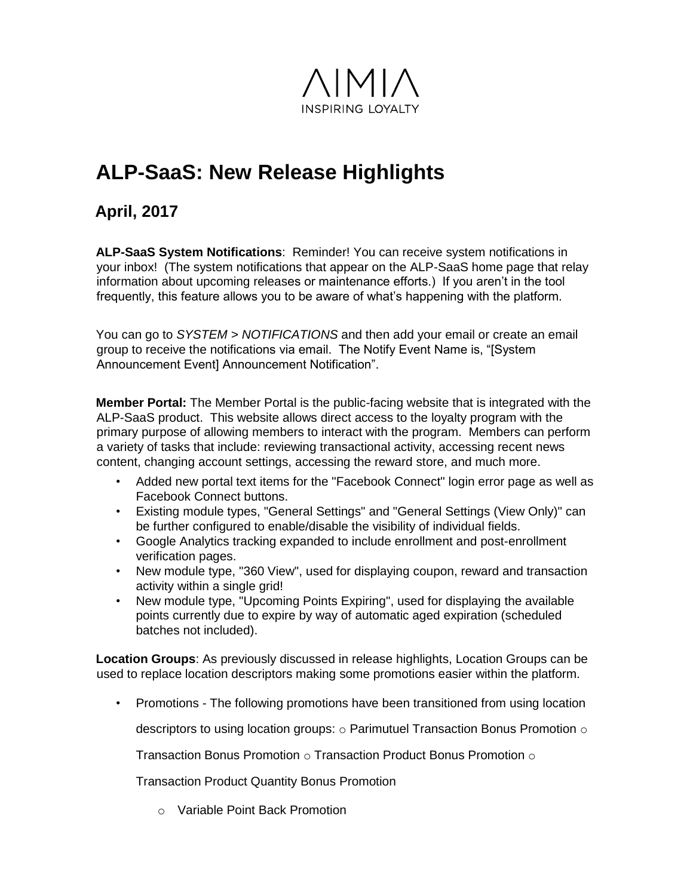

# **ALP-SaaS: New Release Highlights**

## **April, 2017**

**ALP-SaaS System Notifications**: Reminder! You can receive system notifications in your inbox! (The system notifications that appear on the ALP-SaaS home page that relay information about upcoming releases or maintenance efforts.) If you aren't in the tool frequently, this feature allows you to be aware of what's happening with the platform.

You can go to *SYSTEM > NOTIFICATIONS* and then add your email or create an email group to receive the notifications via email. The Notify Event Name is, "[System Announcement Event] Announcement Notification".

**Member Portal:** The Member Portal is the public-facing website that is integrated with the ALP-SaaS product. This website allows direct access to the loyalty program with the primary purpose of allowing members to interact with the program. Members can perform a variety of tasks that include: reviewing transactional activity, accessing recent news content, changing account settings, accessing the reward store, and much more.

- Added new portal text items for the "Facebook Connect" login error page as well as Facebook Connect buttons.
- Existing module types, "General Settings" and "General Settings (View Only)" can be further configured to enable/disable the visibility of individual fields.
- Google Analytics tracking expanded to include enrollment and post-enrollment verification pages.
- New module type, "360 View", used for displaying coupon, reward and transaction activity within a single grid!
- New module type, "Upcoming Points Expiring", used for displaying the available points currently due to expire by way of automatic aged expiration (scheduled batches not included).

**Location Groups**: As previously discussed in release highlights, Location Groups can be used to replace location descriptors making some promotions easier within the platform.

• Promotions - The following promotions have been transitioned from using location

descriptors to using location groups:  $\circ$  Parimutuel Transaction Bonus Promotion  $\circ$ 

Transaction Bonus Promotion  $\circ$  Transaction Product Bonus Promotion  $\circ$ 

Transaction Product Quantity Bonus Promotion

o Variable Point Back Promotion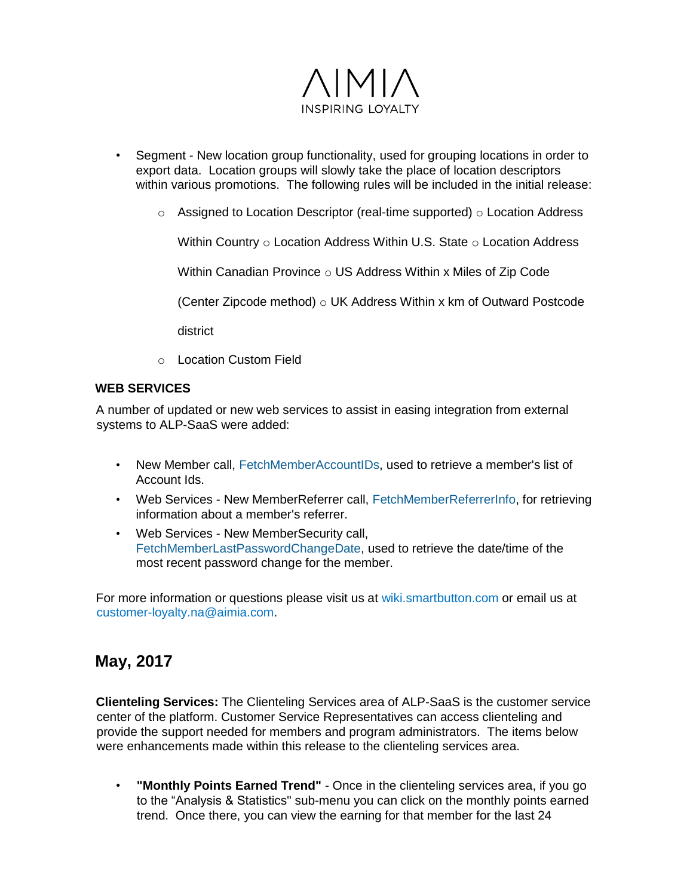

- Segment New location group functionality, used for grouping locations in order to export data. Location groups will slowly take the place of location descriptors within various promotions. The following rules will be included in the initial release:
	- $\circ$  Assigned to Location Descriptor (real-time supported)  $\circ$  Location Address

Within Country  $\circ$  Location Address Within U.S. State  $\circ$  Location Address

Within Canadian Province o US Address Within x Miles of Zip Code

(Center Zipcode method)  $\circ$  UK Address Within x km of Outward Postcode

district

o Location Custom Field

#### **WEB SERVICES**

A number of updated or new web services to assist in easing integration from external systems to ALP-SaaS were added:

- New Member call, [FetchMemberAccountIDs,](https://wiki.smartbutton.com/default.asp?W858) used to retrieve a member's list of Account Ids.
- Web Services New MemberReferrer call, [FetchMemberReferrerInfo,](https://wiki.smartbutton.com/default.asp?W836) for retrieving information about a member's referrer.
- Web Services New MemberSecurity call[,](https://wiki.smartbutton.com/default.asp?W861) [FetchMemberLastPasswordChangeDate,](https://wiki.smartbutton.com/default.asp?W861) used to retrieve the date/time of the most recent password change for the member.

For more information or questions please visit us [at wiki.smartbutton.com](https://wiki.smartbutton.com/default.asp) or email us at customer-loyalty.na@aimia.com.

### **May, 2017**

**Clienteling Services:** The Clienteling Services area of ALP-SaaS is the customer service center of the platform. Customer Service Representatives can access clienteling and provide the support needed for members and program administrators. The items below were enhancements made within this release to the clienteling services area.

• **"Monthly Points Earned Trend"** - Once in the clienteling services area, if you go to the "Analysis & Statistics" sub-menu you can click on the monthly points earned trend. Once there, you can view the earning for that member for the last 24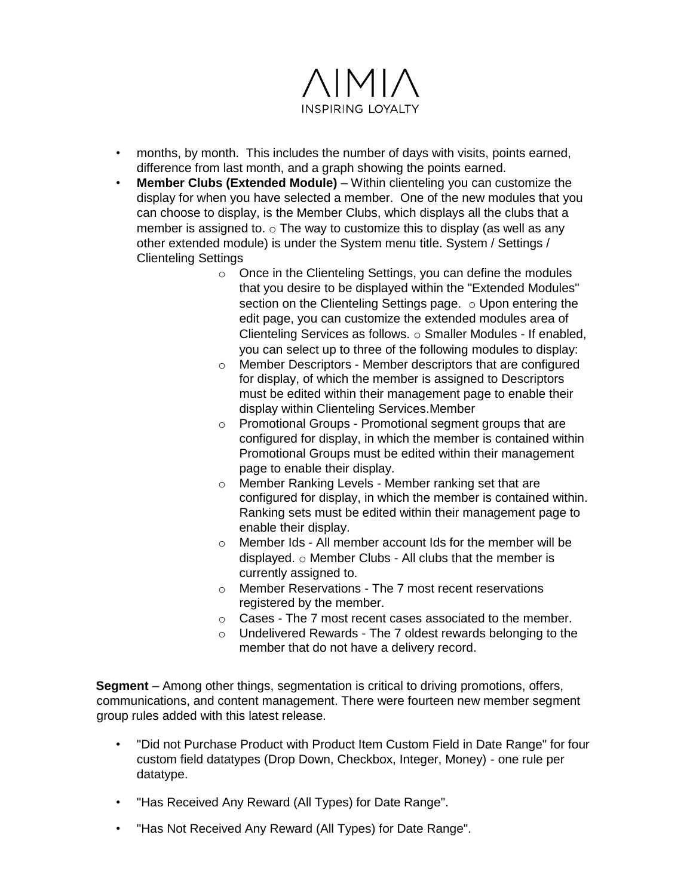

- months, by month. This includes the number of days with visits, points earned, difference from last month, and a graph showing the points earned.
- **Member Clubs (Extended Module)** Within clienteling you can customize the display for when you have selected a member. One of the new modules that you can choose to display, is the Member Clubs, which displays all the clubs that a member is assigned to.  $\circ$  The way to customize this to display (as well as any other extended module) is under the System menu title. System / Settings / Clienteling Settings
	- o Once in the Clienteling Settings, you can define the modules that you desire to be displayed within the "Extended Modules" section on the Clienteling Settings page. o Upon entering the edit page, you can customize the extended modules area of Clienteling Services as follows. o Smaller Modules - If enabled, you can select up to three of the following modules to display:
	- o Member Descriptors Member descriptors that are configured for display, of which the member is assigned to Descriptors must be edited within their management page to enable their display within Clienteling Services.Member
	- o Promotional Groups Promotional segment groups that are configured for display, in which the member is contained within Promotional Groups must be edited within their management page to enable their display.
	- o Member Ranking Levels Member ranking set that are configured for display, in which the member is contained within. Ranking sets must be edited within their management page to enable their display.
	- o Member Ids All member account Ids for the member will be displayed. o Member Clubs - All clubs that the member is currently assigned to.
	- o Member Reservations The 7 most recent reservations registered by the member.
	- o Cases The 7 most recent cases associated to the member.
	- $\circ$  Undelivered Rewards The 7 oldest rewards belonging to the member that do not have a delivery record.

**Segment** – Among other things, segmentation is critical to driving promotions, offers, communications, and content management. There were fourteen new member segment group rules added with this latest release.

- "Did not Purchase Product with Product Item Custom Field in Date Range" for four custom field datatypes (Drop Down, Checkbox, Integer, Money) - one rule per datatype.
- "Has Received Any Reward (All Types) for Date Range".
- "Has Not Received Any Reward (All Types) for Date Range".